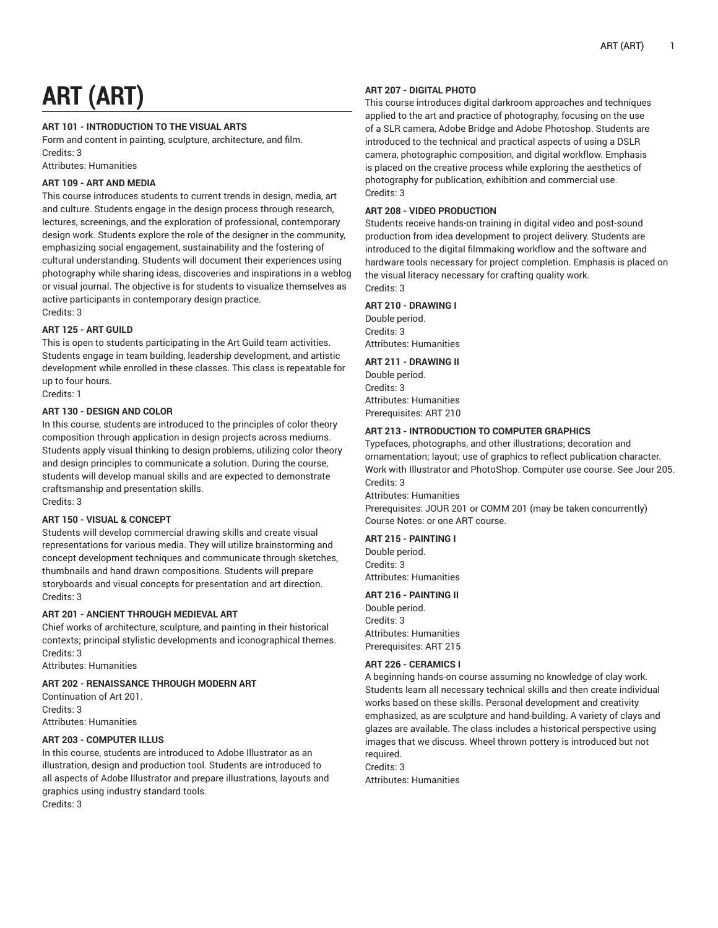# **ART (ART)**

# **ART 101 - INTRODUCTION TO THE VISUAL ARTS**

Form and content in painting, sculpture, architecture, and film. Credits: 3

Attributes: Humanities

# **ART 109 - ART AND MEDIA**

This course introduces students to current trends in design, media, art and culture. Students engage in the design process through research, lectures, screenings, and the exploration of professional, contemporary design work. Students explore the role of the designer in the community, emphasizing social engagement, sustainability and the fostering of cultural understanding. Students will document their experiences using photography while sharing ideas, discoveries and inspirations in a weblog or visual journal. The objective is for students to visualize themselves as active participants in contemporary design practice. Credits: 3

# **ART 125 - ART GUILD**

This is open to students participating in the Art Guild team activities. Students engage in team building, leadership development, and artistic development while enrolled in these classes. This class is repeatable for up to four hours.

Credits: 1

# **ART 130 - DESIGN AND COLOR**

In this course, students are introduced to the principles of color theory composition through application in design projects across mediums. Students apply visual thinking to design problems, utilizing color theory and design principles to communicate a solution. During the course, students will develop manual skills and are expected to demonstrate craftsmanship and presentation skills. Credits: 3

# **ART 150 - VISUAL & CONCEPT**

Students will develop commercial drawing skills and create visual representations for various media. They will utilize brainstorming and concept development techniques and communicate through sketches, thumbnails and hand drawn compositions. Students will prepare storyboards and visual concepts for presentation and art direction. Credits: 3

# **ART 201 - ANCIENT THROUGH MEDIEVAL ART**

Chief works of architecture, sculpture, and painting in their historical contexts; principal stylistic developments and iconographical themes. Credits: 3

Attributes: Humanities

# **ART 202 - RENAISSANCE THROUGH MODERN ART**

Continuation of Art 201. Credits: 3 Attributes: Humanities

# **ART 203 - COMPUTER ILLUS**

In this course, students are introduced to Adobe Illustrator as an illustration, design and production tool. Students are introduced to all aspects of Adobe Illustrator and prepare illustrations, layouts and graphics using industry standard tools. Credits: 3

# **ART 207 - DIGITAL PHOTO**

This course introduces digital darkroom approaches and techniques applied to the art and practice of photography, focusing on the use of a SLR camera, Adobe Bridge and Adobe Photoshop. Students are introduced to the technical and practical aspects of using a DSLR camera, photographic composition, and digital workflow. Emphasis is placed on the creative process while exploring the aesthetics of photography for publication, exhibition and commercial use. Credits: 3

# **ART 208 - VIDEO PRODUCTION**

Students receive hands-on training in digital video and post-sound production from idea development to project delivery. Students are introduced to the digital filmmaking workflow and the software and hardware tools necessary for project completion. Emphasis is placed on the visual literacy necessary for crafting quality work. Credits: 3

# **ART 210 - DRAWING I**

Double period. Credits: 3 Attributes: Humanities

## **ART 211 - DRAWING II**

Double period. Credits: 3 Attributes: Humanities Prerequisites: ART 210

# **ART 213 - INTRODUCTION TO COMPUTER GRAPHICS**

Typefaces, photographs, and other illustrations; decoration and ornamentation; layout; use of graphics to reflect publication character. Work with Illustrator and PhotoShop. Computer use course. See Jour 205. Credits: 3

Attributes: Humanities

Prerequisites: JOUR 201 or COMM 201 (may be taken concurrently) Course Notes: or one ART course.

# **ART 215 - PAINTING I**

Double period. Credits: 3 Attributes: Humanities

#### **ART 216 - PAINTING II**

Double period. Credits: 3 Attributes: Humanities Prerequisites: ART 215

# **ART 226 - CERAMICS I**

A beginning hands-on course assuming no knowledge of clay work. Students learn all necessary technical skills and then create individual works based on these skills. Personal development and creativity emphasized, as are sculpture and hand-building. A variety of clays and glazes are available. The class includes a historical perspective using images that we discuss. Wheel thrown pottery is introduced but not required. Credits: 3

Attributes: Humanities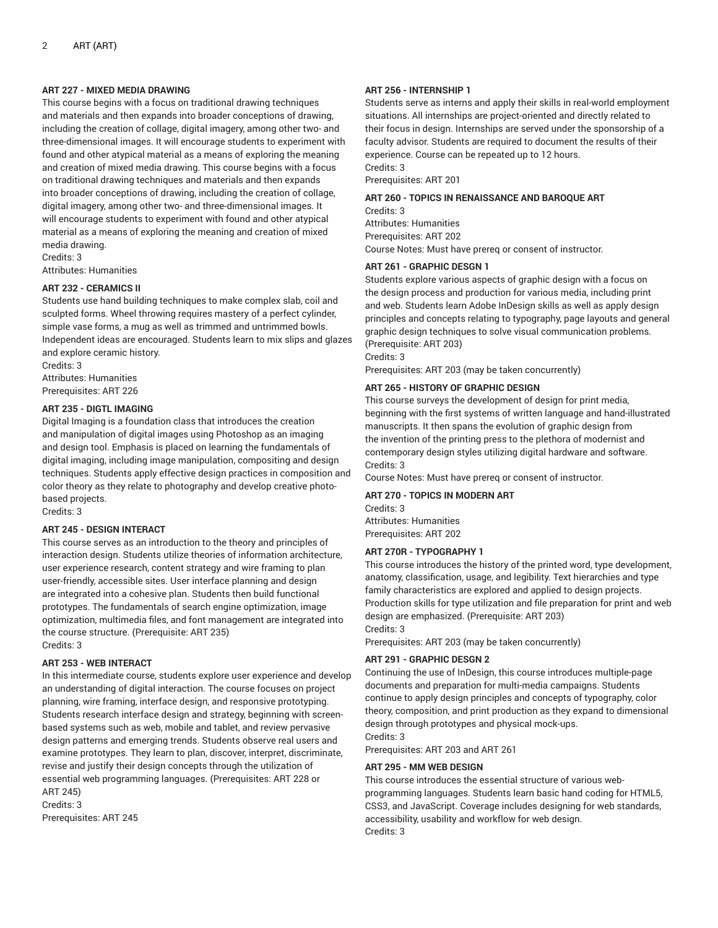# **ART 227 - MIXED MEDIA DRAWING**

This course begins with a focus on traditional drawing techniques and materials and then expands into broader conceptions of drawing, including the creation of collage, digital imagery, among other two- and three-dimensional images. It will encourage students to experiment with found and other atypical material as a means of exploring the meaning and creation of mixed media drawing. This course begins with a focus on traditional drawing techniques and materials and then expands into broader conceptions of drawing, including the creation of collage, digital imagery, among other two- and three-dimensional images. It will encourage students to experiment with found and other atypical material as a means of exploring the meaning and creation of mixed media drawing.

Credits: 3 Attributes: Humanities

# **ART 232 - CERAMICS II**

Students use hand building techniques to make complex slab, coil and sculpted forms. Wheel throwing requires mastery of a perfect cylinder, simple vase forms, a mug as well as trimmed and untrimmed bowls. Independent ideas are encouraged. Students learn to mix slips and glazes and explore ceramic history.

Credits: 3 Attributes: Humanities Prerequisites: ART 226

# **ART 235 - DIGTL IMAGING**

Digital Imaging is a foundation class that introduces the creation and manipulation of digital images using Photoshop as an imaging and design tool. Emphasis is placed on learning the fundamentals of digital imaging, including image manipulation, compositing and design techniques. Students apply effective design practices in composition and color theory as they relate to photography and develop creative photobased projects.

Credits: 3

# **ART 245 - DESIGN INTERACT**

This course serves as an introduction to the theory and principles of interaction design. Students utilize theories of information architecture, user experience research, content strategy and wire framing to plan user-friendly, accessible sites. User interface planning and design are integrated into a cohesive plan. Students then build functional prototypes. The fundamentals of search engine optimization, image optimization, multimedia files, and font management are integrated into the course structure. (Prerequisite: ART 235) Credits: 3

# **ART 253 - WEB INTERACT**

In this intermediate course, students explore user experience and develop an understanding of digital interaction. The course focuses on project planning, wire framing, interface design, and responsive prototyping. Students research interface design and strategy, beginning with screenbased systems such as web, mobile and tablet, and review pervasive design patterns and emerging trends. Students observe real users and examine prototypes. They learn to plan, discover, interpret, discriminate, revise and justify their design concepts through the utilization of essential web programming languages. (Prerequisites: ART 228 or ART 245)

Credits: 3 Prerequisites: ART 245

# **ART 256 - INTERNSHIP 1**

Students serve as interns and apply their skills in real-world employment situations. All internships are project-oriented and directly related to their focus in design. Internships are served under the sponsorship of a faculty advisor. Students are required to document the results of their experience. Course can be repeated up to 12 hours. Credits: 3

Prerequisites: ART 201

## **ART 260 - TOPICS IN RENAISSANCE AND BAROQUE ART**

Credits: 3 Attributes: Humanities Prerequisites: ART 202 Course Notes: Must have prereq or consent of instructor.

# **ART 261 - GRAPHIC DESGN 1**

Students explore various aspects of graphic design with a focus on the design process and production for various media, including print and web. Students learn Adobe InDesign skills as well as apply design principles and concepts relating to typography, page layouts and general graphic design techniques to solve visual communication problems. (Prerequisite: ART 203)

Credits: 3

Prerequisites: ART 203 (may be taken concurrently)

# **ART 265 - HISTORY OF GRAPHIC DESIGN**

This course surveys the development of design for print media, beginning with the first systems of written language and hand-illustrated manuscripts. It then spans the evolution of graphic design from the invention of the printing press to the plethora of modernist and contemporary design styles utilizing digital hardware and software. Credits: 3

Course Notes: Must have prereq or consent of instructor.

**ART 270 - TOPICS IN MODERN ART**

Credits: 3 Attributes: Humanities Prerequisites: ART 202

# **ART 270R - TYPOGRAPHY 1**

This course introduces the history of the printed word, type development, anatomy, classification, usage, and legibility. Text hierarchies and type family characteristics are explored and applied to design projects. Production skills for type utilization and file preparation for print and web design are emphasized. (Prerequisite: ART 203) Credits: 3

Prerequisites: ART 203 (may be taken concurrently)

# **ART 291 - GRAPHIC DESGN 2**

Continuing the use of InDesign, this course introduces multiple-page documents and preparation for multi-media campaigns. Students continue to apply design principles and concepts of typography, color theory, composition, and print production as they expand to dimensional design through prototypes and physical mock-ups. Credits: 3

Prerequisites: ART 203 and ART 261

# **ART 295 - MM WEB DESIGN**

This course introduces the essential structure of various webprogramming languages. Students learn basic hand coding for HTML5, CSS3, and JavaScript. Coverage includes designing for web standards, accessibility, usability and workflow for web design. Credits: 3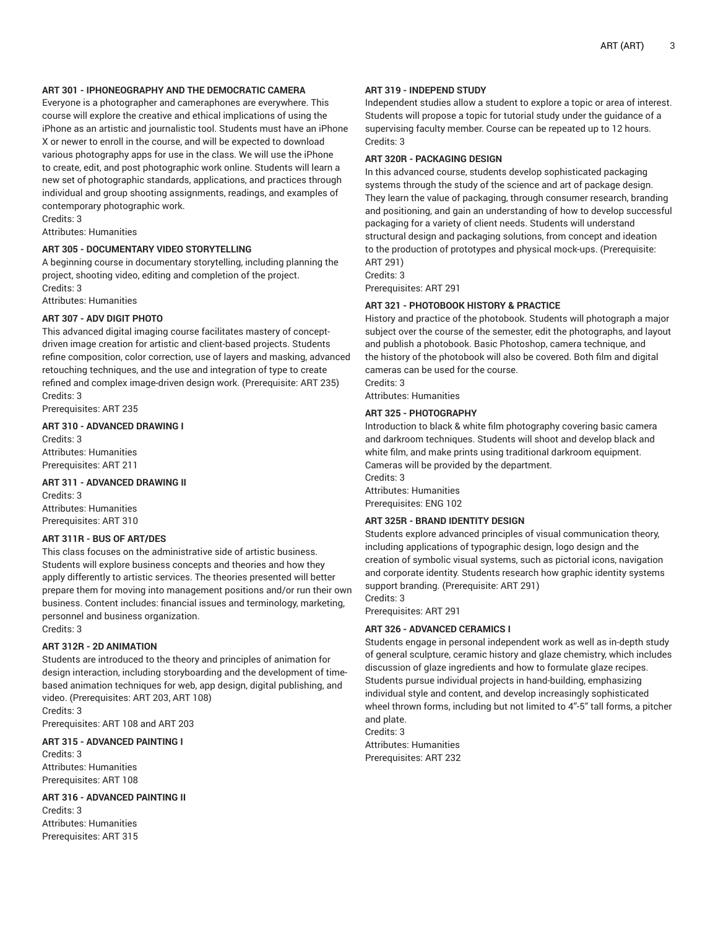# **ART 301 - IPHONEOGRAPHY AND THE DEMOCRATIC CAMERA**

Everyone is a photographer and cameraphones are everywhere. This course will explore the creative and ethical implications of using the iPhone as an artistic and journalistic tool. Students must have an iPhone X or newer to enroll in the course, and will be expected to download various photography apps for use in the class. We will use the iPhone to create, edit, and post photographic work online. Students will learn a new set of photographic standards, applications, and practices through individual and group shooting assignments, readings, and examples of contemporary photographic work.

Credits: 3

Attributes: Humanities

#### **ART 305 - DOCUMENTARY VIDEO STORYTELLING**

A beginning course in documentary storytelling, including planning the project, shooting video, editing and completion of the project. Credits: 3

Attributes: Humanities

#### **ART 307 - ADV DIGIT PHOTO**

This advanced digital imaging course facilitates mastery of conceptdriven image creation for artistic and client-based projects. Students refine composition, color correction, use of layers and masking, advanced retouching techniques, and the use and integration of type to create refined and complex image-driven design work. (Prerequisite: ART 235) Credits: 3

Prerequisites: ART 235

# **ART 310 - ADVANCED DRAWING I**

Credits: 3 Attributes: Humanities Prerequisites: ART 211

# **ART 311 - ADVANCED DRAWING II**

Credits: 3 Attributes: Humanities Prerequisites: ART 310

# **ART 311R - BUS OF ART/DES**

This class focuses on the administrative side of artistic business. Students will explore business concepts and theories and how they apply differently to artistic services. The theories presented will better prepare them for moving into management positions and/or run their own business. Content includes: financial issues and terminology, marketing, personnel and business organization.

Credits: 3

# **ART 312R - 2D ANIMATION**

Students are introduced to the theory and principles of animation for design interaction, including storyboarding and the development of timebased animation techniques for web, app design, digital publishing, and video. (Prerequisites: ART 203, ART 108) Credits: 3

Prerequisites: ART 108 and ART 203

# **ART 315 - ADVANCED PAINTING I**

Credits: 3 Attributes: Humanities Prerequisites: ART 108

# **ART 316 - ADVANCED PAINTING II**

Credits: 3 Attributes: Humanities Prerequisites: ART 315

# **ART 319 - INDEPEND STUDY**

Independent studies allow a student to explore a topic or area of interest. Students will propose a topic for tutorial study under the guidance of a supervising faculty member. Course can be repeated up to 12 hours. Credits: 3

# **ART 320R - PACKAGING DESIGN**

In this advanced course, students develop sophisticated packaging systems through the study of the science and art of package design. They learn the value of packaging, through consumer research, branding and positioning, and gain an understanding of how to develop successful packaging for a variety of client needs. Students will understand structural design and packaging solutions, from concept and ideation to the production of prototypes and physical mock-ups. (Prerequisite: ART 291)

Credits: 3

Prerequisites: ART 291

## **ART 321 - PHOTOBOOK HISTORY & PRACTICE**

History and practice of the photobook. Students will photograph a major subject over the course of the semester, edit the photographs, and layout and publish a photobook. Basic Photoshop, camera technique, and the history of the photobook will also be covered. Both film and digital cameras can be used for the course. Credits: 3

Attributes: Humanities

#### **ART 325 - PHOTOGRAPHY**

Introduction to black & white film photography covering basic camera and darkroom techniques. Students will shoot and develop black and white film, and make prints using traditional darkroom equipment. Cameras will be provided by the department. Credits: 3

Attributes: Humanities Prerequisites: ENG 102

#### **ART 325R - BRAND IDENTITY DESIGN**

Students explore advanced principles of visual communication theory, including applications of typographic design, logo design and the creation of symbolic visual systems, such as pictorial icons, navigation and corporate identity. Students research how graphic identity systems support branding. (Prerequisite: ART 291) Credits: 3

Prerequisites: ART 291

#### **ART 326 - ADVANCED CERAMICS I**

Students engage in personal independent work as well as in-depth study of general sculpture, ceramic history and glaze chemistry, which includes discussion of glaze ingredients and how to formulate glaze recipes. Students pursue individual projects in hand-building, emphasizing individual style and content, and develop increasingly sophisticated wheel thrown forms, including but not limited to 4"-5" tall forms, a pitcher and plate.

Credits: 3 Attributes: Humanities Prerequisites: ART 232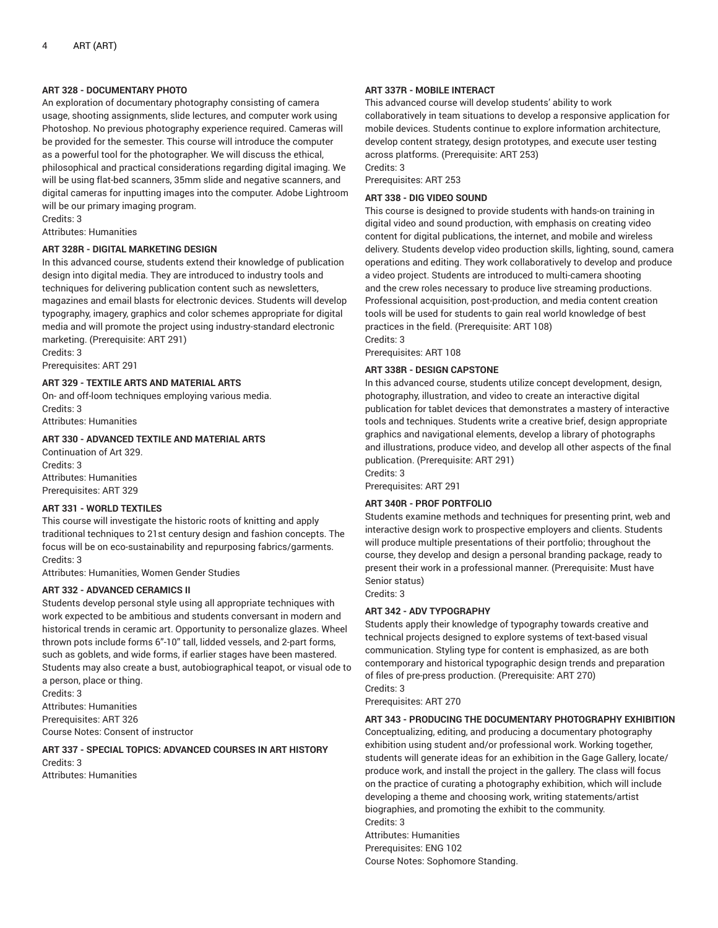## **ART 328 - DOCUMENTARY PHOTO**

An exploration of documentary photography consisting of camera usage, shooting assignments, slide lectures, and computer work using Photoshop. No previous photography experience required. Cameras will be provided for the semester. This course will introduce the computer as a powerful tool for the photographer. We will discuss the ethical, philosophical and practical considerations regarding digital imaging. We will be using flat-bed scanners, 35mm slide and negative scanners, and digital cameras for inputting images into the computer. Adobe Lightroom will be our primary imaging program.

Credits: 3

Attributes: Humanities

# **ART 328R - DIGITAL MARKETING DESIGN**

In this advanced course, students extend their knowledge of publication design into digital media. They are introduced to industry tools and techniques for delivering publication content such as newsletters, magazines and email blasts for electronic devices. Students will develop typography, imagery, graphics and color schemes appropriate for digital media and will promote the project using industry-standard electronic marketing. (Prerequisite: ART 291)

Credits: 3 Prerequisites: ART 291

#### **ART 329 - TEXTILE ARTS AND MATERIAL ARTS**

On- and off-loom techniques employing various media. Credits: 3 Attributes: Humanities

# **ART 330 - ADVANCED TEXTILE AND MATERIAL ARTS**

Continuation of Art 329. Credits: 3 Attributes: Humanities Prerequisites: ART 329

# **ART 331 - WORLD TEXTILES**

This course will investigate the historic roots of knitting and apply traditional techniques to 21st century design and fashion concepts. The focus will be on eco-sustainability and repurposing fabrics/garments. Credits: 3

Attributes: Humanities, Women Gender Studies

#### **ART 332 - ADVANCED CERAMICS II**

Students develop personal style using all appropriate techniques with work expected to be ambitious and students conversant in modern and historical trends in ceramic art. Opportunity to personalize glazes. Wheel thrown pots include forms 6"-10" tall, lidded vessels, and 2-part forms, such as goblets, and wide forms, if earlier stages have been mastered. Students may also create a bust, autobiographical teapot, or visual ode to a person, place or thing.

Credits: 3 Attributes: Humanities Prerequisites: ART 326 Course Notes: Consent of instructor

# **ART 337 - SPECIAL TOPICS: ADVANCED COURSES IN ART HISTORY** Credits: 3

Attributes: Humanities

# **ART 337R - MOBILE INTERACT**

This advanced course will develop students' ability to work collaboratively in team situations to develop a responsive application for mobile devices. Students continue to explore information architecture, develop content strategy, design prototypes, and execute user testing across platforms. (Prerequisite: ART 253) Credits: 3

Prerequisites: ART 253

## **ART 338 - DIG VIDEO SOUND**

This course is designed to provide students with hands-on training in digital video and sound production, with emphasis on creating video content for digital publications, the internet, and mobile and wireless delivery. Students develop video production skills, lighting, sound, camera operations and editing. They work collaboratively to develop and produce a video project. Students are introduced to multi-camera shooting and the crew roles necessary to produce live streaming productions. Professional acquisition, post-production, and media content creation tools will be used for students to gain real world knowledge of best practices in the field. (Prerequisite: ART 108) Credits: 3

Prerequisites: ART 108

# **ART 338R - DESIGN CAPSTONE**

In this advanced course, students utilize concept development, design, photography, illustration, and video to create an interactive digital publication for tablet devices that demonstrates a mastery of interactive tools and techniques. Students write a creative brief, design appropriate graphics and navigational elements, develop a library of photographs and illustrations, produce video, and develop all other aspects of the final publication. (Prerequisite: ART 291) Credits: 3

Prerequisites: ART 291

# **ART 340R - PROF PORTFOLIO**

Students examine methods and techniques for presenting print, web and interactive design work to prospective employers and clients. Students will produce multiple presentations of their portfolio; throughout the course, they develop and design a personal branding package, ready to present their work in a professional manner. (Prerequisite: Must have Senior status)

Credits: 3

# **ART 342 - ADV TYPOGRAPHY**

Students apply their knowledge of typography towards creative and technical projects designed to explore systems of text-based visual communication. Styling type for content is emphasized, as are both contemporary and historical typographic design trends and preparation of files of pre-press production. (Prerequisite: ART 270) Credits: 3

Prerequisites: ART 270

# **ART 343 - PRODUCING THE DOCUMENTARY PHOTOGRAPHY EXHIBITION**

Conceptualizing, editing, and producing a documentary photography exhibition using student and/or professional work. Working together, students will generate ideas for an exhibition in the Gage Gallery, locate/ produce work, and install the project in the gallery. The class will focus on the practice of curating a photography exhibition, which will include developing a theme and choosing work, writing statements/artist biographies, and promoting the exhibit to the community. Credits: 3 Attributes: Humanities Prerequisites: ENG 102

Course Notes: Sophomore Standing.